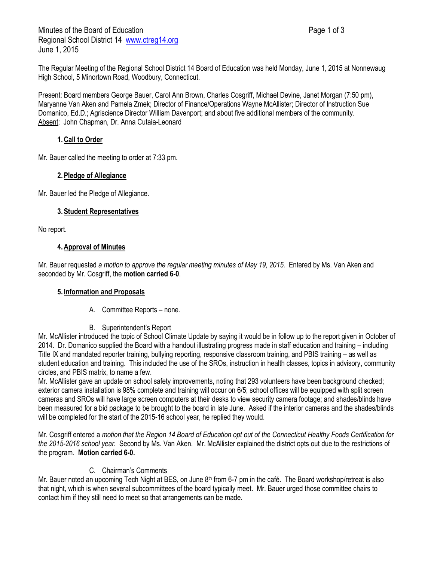The Regular Meeting of the Regional School District 14 Board of Education was held Monday, June 1, 2015 at Nonnewaug High School, 5 Minortown Road, Woodbury, Connecticut.

Present: Board members George Bauer, Carol Ann Brown, Charles Cosgriff, Michael Devine, Janet Morgan (7:50 pm), Maryanne Van Aken and Pamela Zmek; Director of Finance/Operations Wayne McAllister; Director of Instruction Sue Domanico, Ed.D.; Agriscience Director William Davenport; and about five additional members of the community. Absent: John Chapman, Dr. Anna Cutaia-Leonard

# **1.Call to Order**

Mr. Bauer called the meeting to order at 7:33 pm.

### **2.Pledge of Allegiance**

Mr. Bauer led the Pledge of Allegiance.

### **3.Student Representatives**

No report.

#### **4.Approval of Minutes**

Mr. Bauer requested *a motion to approve the regular meeting minutes of May 19, 2015.* Entered by Ms. Van Aken and seconded by Mr. Cosgriff, the **motion carried 6-0**.

### **5. Information and Proposals**

- A. Committee Reports none.
- B. Superintendent's Report

Mr. McAllister introduced the topic of School Climate Update by saying it would be in follow up to the report given in October of 2014. Dr. Domanico supplied the Board with a handout illustrating progress made in staff education and training – including Title IX and mandated reporter training, bullying reporting, responsive classroom training, and PBIS training – as well as student education and training. This included the use of the SROs, instruction in health classes, topics in advisory, community circles, and PBIS matrix, to name a few.

Mr. McAllister gave an update on school safety improvements, noting that 293 volunteers have been background checked; exterior camera installation is 98% complete and training will occur on 6/5; school offices will be equipped with split screen cameras and SROs will have large screen computers at their desks to view security camera footage; and shades/blinds have been measured for a bid package to be brought to the board in late June. Asked if the interior cameras and the shades/blinds will be completed for the start of the 2015-16 school year, he replied they would.

Mr. Cosgriff entered a *motion that the Region 14 Board of Education opt out of the Connecticut Healthy Foods Certification for the 2015-2016 school year.* Second by Ms. Van Aken. Mr. McAllister explained the district opts out due to the restrictions of the program. **Motion carried 6-0.**

### C. Chairman's Comments

Mr. Bauer noted an upcoming Tech Night at BES, on June  $8<sup>th</sup>$  from 6-7 pm in the café. The Board workshop/retreat is also that night, which is when several subcommittees of the board typically meet. Mr. Bauer urged those committee chairs to contact him if they still need to meet so that arrangements can be made.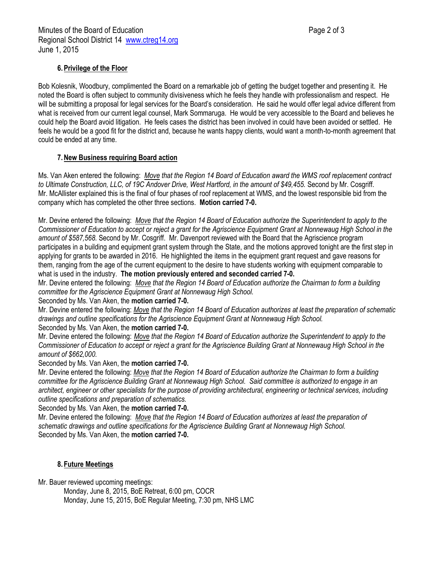# **6.Privilege of the Floor**

Bob Kolesnik, Woodbury, complimented the Board on a remarkable job of getting the budget together and presenting it. He noted the Board is often subject to community divisiveness which he feels they handle with professionalism and respect. He will be submitting a proposal for legal services for the Board's consideration. He said he would offer legal advice different from what is received from our current legal counsel, Mark Sommaruga. He would be very accessible to the Board and believes he could help the Board avoid litigation. He feels cases the district has been involved in could have been avoided or settled. He feels he would be a good fit for the district and, because he wants happy clients, would want a month-to-month agreement that could be ended at any time.

# **7.New Business requiring Board action**

Ms. Van Aken entered the following: *Move that the Region 14 Board of Education award the WMS roof replacement contract to Ultimate Construction, LLC, of 19C Andover Drive, West Hartford, in the amount of \$49,455.* Second by Mr. Cosgriff. Mr. McAllister explained this is the final of four phases of roof replacement at WMS, and the lowest responsible bid from the company which has completed the other three sections. **Motion carried 7-0.**

Mr. Devine entered the following: *Move that the Region 14 Board of Education authorize the Superintendent to apply to the Commissioner of Education to accept or reject a grant for the Agriscience Equipment Grant at Nonnewaug High School in the amount of \$587,568.* Second by Mr. Cosgriff. Mr. Davenport reviewed with the Board that the Agriscience program participates in a building and equipment grant system through the State, and the motions approved tonight are the first step in applying for grants to be awarded in 2016. He highlighted the items in the equipment grant request and gave reasons for them, ranging from the age of the current equipment to the desire to have students working with equipment comparable to what is used in the industry. **The motion previously entered and seconded carried 7-0.**

Mr. Devine entered the following: *Move that the Region 14 Board of Education authorize the Chairman to form a building committee for the Agriscience Equipment Grant at Nonnewaug High School.*

### Seconded by Ms. Van Aken, the **motion carried 7-0.**

Mr. Devine entered the following: *Move that the Region 14 Board of Education authorizes at least the preparation of schematic drawings and outline specifications for the Agriscience Equipment Grant at Nonnewaug High School.* Seconded by Ms. Van Aken, the **motion carried 7-0.**

Mr. Devine entered the following: *Move that the Region 14 Board of Education authorize the Superintendent to apply to the Commissioner of Education to accept or reject a grant for the Agriscience Building Grant at Nonnewaug High School in the amount of \$662,000.*

Seconded by Ms. Van Aken, the **motion carried 7-0.**

Mr. Devine entered the following: *Move that the Region 14 Board of Education authorize the Chairman to form a building committee for the Agriscience Building Grant at Nonnewaug High School. Said committee is authorized to engage in an architect, engineer or other specialists for the purpose of providing architectural, engineering or technical services, including outline specifications and preparation of schematics.*

### Seconded by Ms. Van Aken, the **motion carried 7-0.**

Mr. Devine entered the following: *Move that the Region 14 Board of Education authorizes at least the preparation of schematic drawings and outline specifications for the Agriscience Building Grant at Nonnewaug High School.* Seconded by Ms. Van Aken, the **motion carried 7-0.**

### **8. Future Meetings**

Mr. Bauer reviewed upcoming meetings:

Monday, June 8, 2015, BoE Retreat, 6:00 pm, COCR Monday, June 15, 2015, BoE Regular Meeting, 7:30 pm, NHS LMC